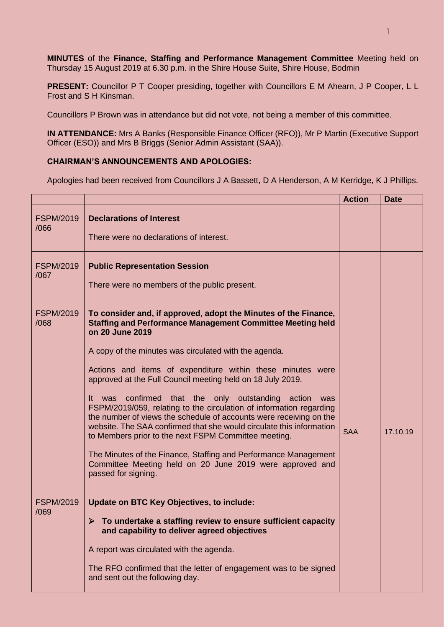**MINUTES** of the **Finance, Staffing and Performance Management Committee** Meeting held on Thursday 15 August 2019 at 6.30 p.m. in the Shire House Suite, Shire House, Bodmin

**PRESENT:** Councillor P T Cooper presiding, together with Councillors E M Ahearn, J P Cooper, L L Frost and S H Kinsman.

Councillors P Brown was in attendance but did not vote, not being a member of this committee.

**IN ATTENDANCE:** Mrs A Banks (Responsible Finance Officer (RFO)), Mr P Martin (Executive Support Officer (ESO)) and Mrs B Briggs (Senior Admin Assistant (SAA)).

## **CHAIRMAN'S ANNOUNCEMENTS AND APOLOGIES:**

Apologies had been received from Councillors J A Bassett, D A Henderson, A M Kerridge, K J Phillips.

|                          |                                                                                                                                                                                                                                                                                                                                                                                                                                                                                                                                                                                                                                                                                                                                                                                                                                             | <b>Action</b> | <b>Date</b> |
|--------------------------|---------------------------------------------------------------------------------------------------------------------------------------------------------------------------------------------------------------------------------------------------------------------------------------------------------------------------------------------------------------------------------------------------------------------------------------------------------------------------------------------------------------------------------------------------------------------------------------------------------------------------------------------------------------------------------------------------------------------------------------------------------------------------------------------------------------------------------------------|---------------|-------------|
| <b>FSPM/2019</b><br>/066 | <b>Declarations of Interest</b><br>There were no declarations of interest.                                                                                                                                                                                                                                                                                                                                                                                                                                                                                                                                                                                                                                                                                                                                                                  |               |             |
| <b>FSPM/2019</b><br>/067 | <b>Public Representation Session</b><br>There were no members of the public present.                                                                                                                                                                                                                                                                                                                                                                                                                                                                                                                                                                                                                                                                                                                                                        |               |             |
| <b>FSPM/2019</b><br>/068 | To consider and, if approved, adopt the Minutes of the Finance,<br><b>Staffing and Performance Management Committee Meeting held</b><br>on 20 June 2019<br>A copy of the minutes was circulated with the agenda.<br>Actions and items of expenditure within these minutes were<br>approved at the Full Council meeting held on 18 July 2019.<br>It was confirmed that the only outstanding action<br>was<br>FSPM/2019/059, relating to the circulation of information regarding<br>the number of views the schedule of accounts were receiving on the<br>website. The SAA confirmed that she would circulate this information<br>to Members prior to the next FSPM Committee meeting.<br>The Minutes of the Finance, Staffing and Performance Management<br>Committee Meeting held on 20 June 2019 were approved and<br>passed for signing. | <b>SAA</b>    | 17.10.19    |
| <b>FSPM/2019</b><br>/069 | Update on BTC Key Objectives, to include:<br>$\triangleright$ To undertake a staffing review to ensure sufficient capacity<br>and capability to deliver agreed objectives<br>A report was circulated with the agenda.<br>The RFO confirmed that the letter of engagement was to be signed<br>and sent out the following day.                                                                                                                                                                                                                                                                                                                                                                                                                                                                                                                |               |             |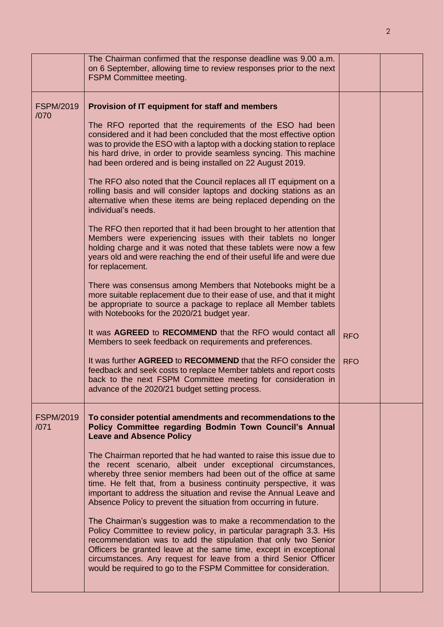|                          | The Chairman confirmed that the response deadline was 9.00 a.m.<br>on 6 September, allowing time to review responses prior to the next<br><b>FSPM Committee meeting.</b>                                                                                                                                                                                                                                                                                                                                                                                                                                                                                                                                                                                                                                                                                                                                                                                                                                                                                                                                                                                         |                          |  |
|--------------------------|------------------------------------------------------------------------------------------------------------------------------------------------------------------------------------------------------------------------------------------------------------------------------------------------------------------------------------------------------------------------------------------------------------------------------------------------------------------------------------------------------------------------------------------------------------------------------------------------------------------------------------------------------------------------------------------------------------------------------------------------------------------------------------------------------------------------------------------------------------------------------------------------------------------------------------------------------------------------------------------------------------------------------------------------------------------------------------------------------------------------------------------------------------------|--------------------------|--|
| <b>FSPM/2019</b><br>/070 | Provision of IT equipment for staff and members<br>The RFO reported that the requirements of the ESO had been<br>considered and it had been concluded that the most effective option<br>was to provide the ESO with a laptop with a docking station to replace<br>his hard drive, in order to provide seamless syncing. This machine<br>had been ordered and is being installed on 22 August 2019.<br>The RFO also noted that the Council replaces all IT equipment on a<br>rolling basis and will consider laptops and docking stations as an<br>alternative when these items are being replaced depending on the<br>individual's needs.<br>The RFO then reported that it had been brought to her attention that<br>Members were experiencing issues with their tablets no longer<br>holding charge and it was noted that these tablets were now a few<br>years old and were reaching the end of their useful life and were due<br>for replacement.<br>There was consensus among Members that Notebooks might be a<br>more suitable replacement due to their ease of use, and that it might<br>be appropriate to source a package to replace all Member tablets |                          |  |
|                          | with Notebooks for the 2020/21 budget year.<br>It was AGREED to RECOMMEND that the RFO would contact all<br>Members to seek feedback on requirements and preferences.<br>It was further AGREED to RECOMMEND that the RFO consider the<br>feedback and seek costs to replace Member tablets and report costs<br>back to the next FSPM Committee meeting for consideration in<br>advance of the 2020/21 budget setting process.                                                                                                                                                                                                                                                                                                                                                                                                                                                                                                                                                                                                                                                                                                                                    | <b>RFO</b><br><b>RFO</b> |  |
| <b>FSPM/2019</b><br>/071 | To consider potential amendments and recommendations to the<br>Policy Committee regarding Bodmin Town Council's Annual<br><b>Leave and Absence Policy</b><br>The Chairman reported that he had wanted to raise this issue due to<br>the recent scenario, albeit under exceptional circumstances,<br>whereby three senior members had been out of the office at same<br>time. He felt that, from a business continuity perspective, it was<br>important to address the situation and revise the Annual Leave and<br>Absence Policy to prevent the situation from occurring in future.<br>The Chairman's suggestion was to make a recommendation to the<br>Policy Committee to review policy, in particular paragraph 3.3. His<br>recommendation was to add the stipulation that only two Senior<br>Officers be granted leave at the same time, except in exceptional<br>circumstances. Any request for leave from a third Senior Officer<br>would be required to go to the FSPM Committee for consideration.                                                                                                                                                      |                          |  |

2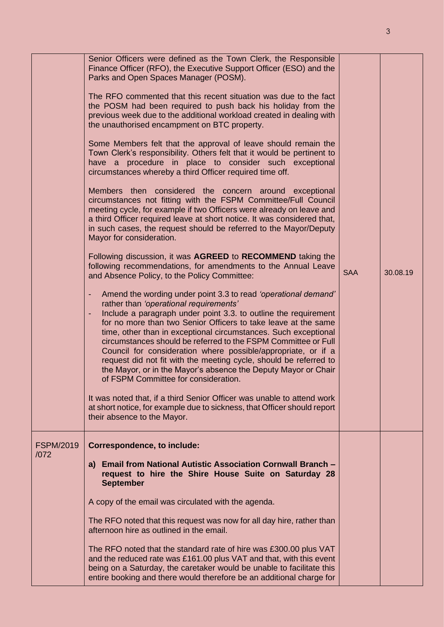|                          | Senior Officers were defined as the Town Clerk, the Responsible<br>Finance Officer (RFO), the Executive Support Officer (ESO) and the<br>Parks and Open Spaces Manager (POSM).<br>The RFO commented that this recent situation was due to the fact<br>the POSM had been required to push back his holiday from the<br>previous week due to the additional workload created in dealing with<br>the unauthorised encampment on BTC property.<br>Some Members felt that the approval of leave should remain the<br>Town Clerk's responsibility. Others felt that it would be pertinent to<br>have a procedure in place to consider such exceptional<br>circumstances whereby a third Officer required time off.<br>Members then considered the concern around exceptional<br>circumstances not fitting with the FSPM Committee/Full Council<br>meeting cycle, for example if two Officers were already on leave and<br>a third Officer required leave at short notice. It was considered that,<br>in such cases, the request should be referred to the Mayor/Deputy<br>Mayor for consideration.<br>Following discussion, it was AGREED to RECOMMEND taking the<br>following recommendations, for amendments to the Annual Leave<br>and Absence Policy, to the Policy Committee:<br>Amend the wording under point 3.3 to read 'operational demand'<br>۰<br>rather than 'operational requirements'<br>Include a paragraph under point 3.3. to outline the requirement<br>٠<br>for no more than two Senior Officers to take leave at the same<br>time, other than in exceptional circumstances. Such exceptional<br>circumstances should be referred to the FSPM Committee or Full | <b>SAA</b> | 30.08.19 |
|--------------------------|------------------------------------------------------------------------------------------------------------------------------------------------------------------------------------------------------------------------------------------------------------------------------------------------------------------------------------------------------------------------------------------------------------------------------------------------------------------------------------------------------------------------------------------------------------------------------------------------------------------------------------------------------------------------------------------------------------------------------------------------------------------------------------------------------------------------------------------------------------------------------------------------------------------------------------------------------------------------------------------------------------------------------------------------------------------------------------------------------------------------------------------------------------------------------------------------------------------------------------------------------------------------------------------------------------------------------------------------------------------------------------------------------------------------------------------------------------------------------------------------------------------------------------------------------------------------------------------------------------------------------------------------------------------------------|------------|----------|
|                          | Council for consideration where possible/appropriate, or if a<br>request did not fit with the meeting cycle, should be referred to<br>the Mayor, or in the Mayor's absence the Deputy Mayor or Chair<br>of FSPM Committee for consideration.<br>It was noted that, if a third Senior Officer was unable to attend work<br>at short notice, for example due to sickness, that Officer should report<br>their absence to the Mayor.                                                                                                                                                                                                                                                                                                                                                                                                                                                                                                                                                                                                                                                                                                                                                                                                                                                                                                                                                                                                                                                                                                                                                                                                                                            |            |          |
| <b>FSPM/2019</b><br>/072 | <b>Correspondence, to include:</b><br>a) Email from National Autistic Association Cornwall Branch -<br>request to hire the Shire House Suite on Saturday 28<br><b>September</b><br>A copy of the email was circulated with the agenda.<br>The RFO noted that this request was now for all day hire, rather than<br>afternoon hire as outlined in the email.<br>The RFO noted that the standard rate of hire was £300.00 plus VAT                                                                                                                                                                                                                                                                                                                                                                                                                                                                                                                                                                                                                                                                                                                                                                                                                                                                                                                                                                                                                                                                                                                                                                                                                                             |            |          |
|                          | and the reduced rate was £161.00 plus VAT and that, with this event<br>being on a Saturday, the caretaker would be unable to facilitate this<br>entire booking and there would therefore be an additional charge for                                                                                                                                                                                                                                                                                                                                                                                                                                                                                                                                                                                                                                                                                                                                                                                                                                                                                                                                                                                                                                                                                                                                                                                                                                                                                                                                                                                                                                                         |            |          |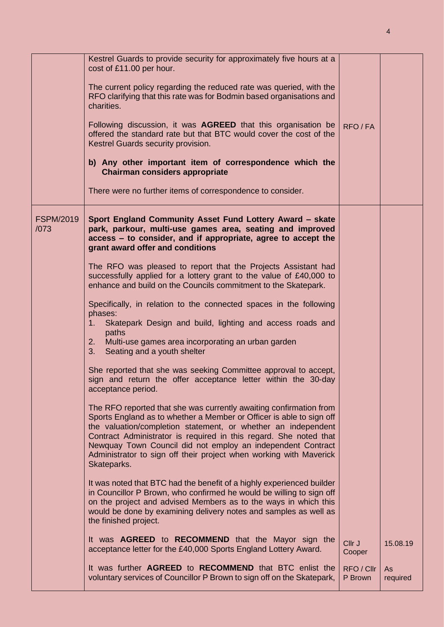|                          | Kestrel Guards to provide security for approximately five hours at a                                                                                                                                                                                                                                                                                                                                                                 |                       |                       |
|--------------------------|--------------------------------------------------------------------------------------------------------------------------------------------------------------------------------------------------------------------------------------------------------------------------------------------------------------------------------------------------------------------------------------------------------------------------------------|-----------------------|-----------------------|
|                          | cost of £11.00 per hour.                                                                                                                                                                                                                                                                                                                                                                                                             |                       |                       |
|                          | The current policy regarding the reduced rate was queried, with the<br>RFO clarifying that this rate was for Bodmin based organisations and<br>charities.                                                                                                                                                                                                                                                                            |                       |                       |
|                          | Following discussion, it was AGREED that this organisation be<br>offered the standard rate but that BTC would cover the cost of the<br>Kestrel Guards security provision.                                                                                                                                                                                                                                                            | RFO/FA                |                       |
|                          | b) Any other important item of correspondence which the<br><b>Chairman considers appropriate</b>                                                                                                                                                                                                                                                                                                                                     |                       |                       |
|                          | There were no further items of correspondence to consider.                                                                                                                                                                                                                                                                                                                                                                           |                       |                       |
| <b>FSPM/2019</b><br>/073 | Sport England Community Asset Fund Lottery Award - skate<br>park, parkour, multi-use games area, seating and improved<br>access - to consider, and if appropriate, agree to accept the<br>grant award offer and conditions                                                                                                                                                                                                           |                       |                       |
|                          | The RFO was pleased to report that the Projects Assistant had<br>successfully applied for a lottery grant to the value of £40,000 to<br>enhance and build on the Councils commitment to the Skatepark.                                                                                                                                                                                                                               |                       |                       |
|                          | Specifically, in relation to the connected spaces in the following<br>phases:<br>Skatepark Design and build, lighting and access roads and<br>$1_{\cdot}$<br>paths<br>Multi-use games area incorporating an urban garden<br>2.                                                                                                                                                                                                       |                       |                       |
|                          | Seating and a youth shelter<br>3.                                                                                                                                                                                                                                                                                                                                                                                                    |                       |                       |
|                          | She reported that she was seeking Committee approval to accept,<br>sign and return the offer acceptance letter within the 30-day<br>acceptance period.                                                                                                                                                                                                                                                                               |                       |                       |
|                          | The RFO reported that she was currently awaiting confirmation from<br>Sports England as to whether a Member or Officer is able to sign off<br>the valuation/completion statement, or whether an independent<br>Contract Administrator is required in this regard. She noted that<br>Newquay Town Council did not employ an independent Contract<br>Administrator to sign off their project when working with Maverick<br>Skateparks. |                       |                       |
|                          | It was noted that BTC had the benefit of a highly experienced builder<br>in Councillor P Brown, who confirmed he would be willing to sign off<br>on the project and advised Members as to the ways in which this<br>would be done by examining delivery notes and samples as well as<br>the finished project.                                                                                                                        |                       |                       |
|                          | It was <b>AGREED</b> to <b>RECOMMEND</b> that the Mayor sign the<br>acceptance letter for the £40,000 Sports England Lottery Award.                                                                                                                                                                                                                                                                                                  | Cllr J<br>Cooper      | 15.08.19              |
|                          | It was further AGREED to RECOMMEND that BTC enlist the<br>voluntary services of Councillor P Brown to sign off on the Skatepark,                                                                                                                                                                                                                                                                                                     | RFO / Cllr<br>P Brown | <b>As</b><br>required |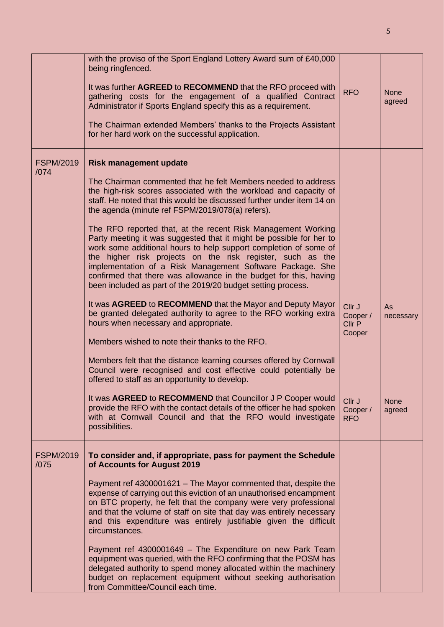|                          | with the proviso of the Sport England Lottery Award sum of £40,000<br>being ringfenced.<br>It was further AGREED to RECOMMEND that the RFO proceed with<br>gathering costs for the engagement of a qualified Contract<br>Administrator if Sports England specify this as a requirement.<br>The Chairman extended Members' thanks to the Projects Assistant<br>for her hard work on the successful application.                                                                                                                                                                                                                                                                                                                                                                                                                                                                                                                                                                                                                                                                                                                                                                                                                                                                                                                                                                                                                 | <b>RFO</b>                                                                 | <b>None</b><br>agreed                    |
|--------------------------|--------------------------------------------------------------------------------------------------------------------------------------------------------------------------------------------------------------------------------------------------------------------------------------------------------------------------------------------------------------------------------------------------------------------------------------------------------------------------------------------------------------------------------------------------------------------------------------------------------------------------------------------------------------------------------------------------------------------------------------------------------------------------------------------------------------------------------------------------------------------------------------------------------------------------------------------------------------------------------------------------------------------------------------------------------------------------------------------------------------------------------------------------------------------------------------------------------------------------------------------------------------------------------------------------------------------------------------------------------------------------------------------------------------------------------|----------------------------------------------------------------------------|------------------------------------------|
| <b>FSPM/2019</b><br>/074 | <b>Risk management update</b><br>The Chairman commented that he felt Members needed to address<br>the high-risk scores associated with the workload and capacity of<br>staff. He noted that this would be discussed further under item 14 on<br>the agenda (minute ref FSPM/2019/078(a) refers).<br>The RFO reported that, at the recent Risk Management Working<br>Party meeting it was suggested that it might be possible for her to<br>work some additional hours to help support completion of some of<br>the higher risk projects on the risk register, such as the<br>implementation of a Risk Management Software Package. She<br>confirmed that there was allowance in the budget for this, having<br>been included as part of the 2019/20 budget setting process.<br>It was AGREED to RECOMMEND that the Mayor and Deputy Mayor<br>be granted delegated authority to agree to the RFO working extra<br>hours when necessary and appropriate.<br>Members wished to note their thanks to the RFO.<br>Members felt that the distance learning courses offered by Cornwall<br>Council were recognised and cost effective could potentially be<br>offered to staff as an opportunity to develop.<br>It was AGREED to RECOMMEND that Councillor J P Cooper would<br>provide the RFO with the contact details of the officer he had spoken<br>with at Cornwall Council and that the RFO would investigate<br>possibilities. | Cllr J<br>Cooper /<br>Cllr P<br>Cooper<br>Cllr J<br>Cooper /<br><b>RFO</b> | As<br>necessary<br><b>None</b><br>agreed |
| <b>FSPM/2019</b><br>/075 | To consider and, if appropriate, pass for payment the Schedule<br>of Accounts for August 2019<br>Payment ref 4300001621 - The Mayor commented that, despite the<br>expense of carrying out this eviction of an unauthorised encampment<br>on BTC property, he felt that the company were very professional<br>and that the volume of staff on site that day was entirely necessary<br>and this expenditure was entirely justifiable given the difficult<br>circumstances.<br>Payment ref 4300001649 - The Expenditure on new Park Team<br>equipment was queried, with the RFO confirming that the POSM has<br>delegated authority to spend money allocated within the machinery<br>budget on replacement equipment without seeking authorisation<br>from Committee/Council each time.                                                                                                                                                                                                                                                                                                                                                                                                                                                                                                                                                                                                                                          |                                                                            |                                          |